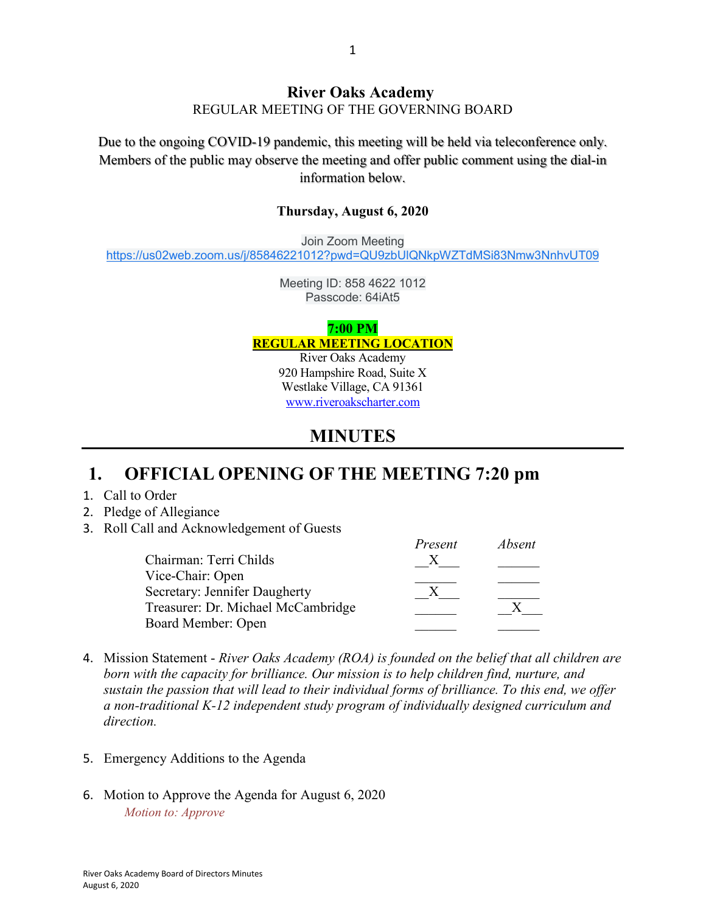#### **River Oaks Academy** REGULAR MEETING OF THE GOVERNING BOARD

Due to the ongoing COVID-19 pandemic, this meeting will be held via teleconference only. Members of the public may observe the meeting and offer public comment using the dial-in information below.

#### **Thursday, August 6, 2020**

Join Zoom Meeting [https://us02web.zoom.us/j/85846221012?pwd=QU9zbUlQNkpWZTdMSi83Nmw3NnhvUT09](https://www.google.com/url?q=https://us02web.zoom.us/j/85846221012?pwd%3DQU9zbUlQNkpWZTdMSi83Nmw3NnhvUT09&sa=D&source=calendar&ust=1595894522542000&usg=AOvVaw0Iq0JqbtUxMm9Zugcvi7Rv)

> Meeting ID: 858 4622 1012 Passcode: 64iAt5

#### **7:00 PM REGULAR MEETING LOCATION**

River Oaks Academy 920 Hampshire Road, Suite X Westlake Village, CA 91361 [www.riveroakscharter.com](http://www.riveroakscharter.com/)

#### **MINUTES**

## **1. OFFICIAL OPENING OF THE MEETING 7:20 pm**

- 1. Call to Order
- 2. Pledge of Allegiance
- 3. Roll Call and Acknowledgement of Guests

|                                    | Present | Absent |
|------------------------------------|---------|--------|
| Chairman: Terri Childs             |         |        |
| Vice-Chair: Open                   |         |        |
| Secretary: Jennifer Daugherty      |         |        |
| Treasurer: Dr. Michael McCambridge |         |        |
| Board Member: Open                 |         |        |

- 4. Mission Statement *River Oaks Academy (ROA) is founded on the belief that all children are born with the capacity for brilliance. Our mission is to help children find, nurture, and sustain the passion that will lead to their individual forms of brilliance. To this end, we offer a non-traditional K-12 independent study program of individually designed curriculum and direction.*
- 5. Emergency Additions to the Agenda
- 6. Motion to Approve the Agenda for August 6, 2020 *Motion to: Approve*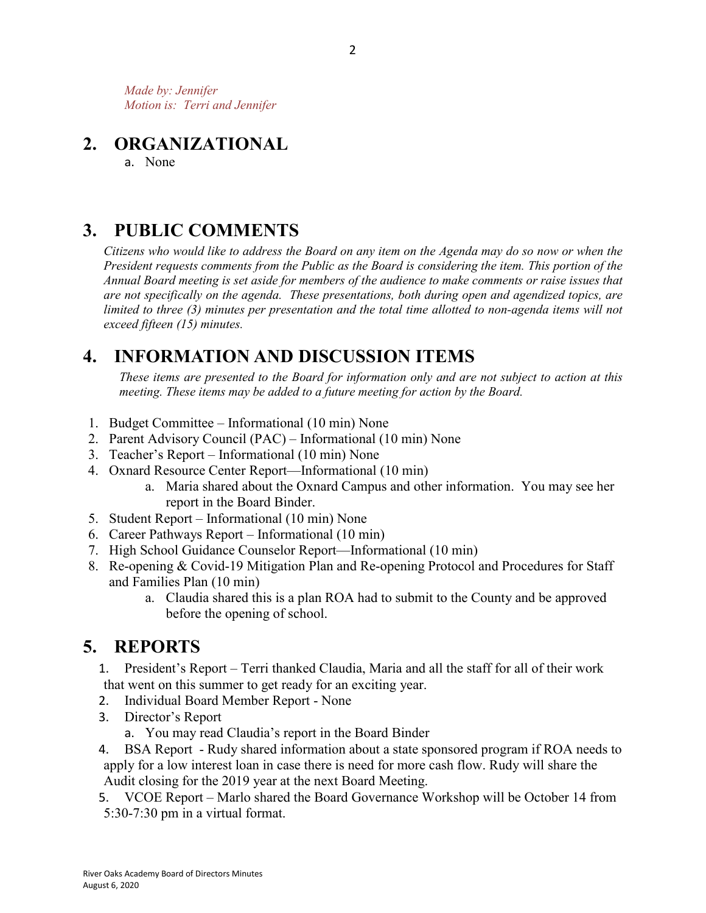*Made by: Jennifer Motion is: Terri and Jennifer*

#### **2. ORGANIZATIONAL**

a. None

#### **3. PUBLIC COMMENTS**

*Citizens who would like to address the Board on any item on the Agenda may do so now or when the President requests comments from the Public as the Board is considering the item. This portion of the Annual Board meeting is set aside for members of the audience to make comments or raise issues that are not specifically on the agenda. These presentations, both during open and agendized topics, are limited to three (3) minutes per presentation and the total time allotted to non-agenda items will not exceed fifteen (15) minutes.*

# **4. INFORMATION AND DISCUSSION ITEMS**

*These items are presented to the Board for information only and are not subject to action at this meeting. These items may be added to a future meeting for action by the Board.*

- 1. Budget Committee Informational (10 min) None
- 2. Parent Advisory Council (PAC) Informational (10 min) None
- 3. Teacher's Report Informational (10 min) None
- 4. Oxnard Resource Center Report—Informational (10 min)
	- a. Maria shared about the Oxnard Campus and other information. You may see her report in the Board Binder.
- 5. Student Report Informational (10 min) None
- 6. Career Pathways Report Informational (10 min)
- 7. High School Guidance Counselor Report—Informational (10 min)
- 8. Re-opening & Covid-19 Mitigation Plan and Re-opening Protocol and Procedures for Staff and Families Plan (10 min)
	- a. Claudia shared this is a plan ROA had to submit to the County and be approved before the opening of school.

## **5. REPORTS**

- 1. President's Report Terri thanked Claudia, Maria and all the staff for all of their work that went on this summer to get ready for an exciting year.
- 2. Individual Board Member Report None
- 3. Director's Report
	- a. You may read Claudia's report in the Board Binder
- 4. BSA Report Rudy shared information about a state sponsored program if ROA needs to apply for a low interest loan in case there is need for more cash flow. Rudy will share the Audit closing for the 2019 year at the next Board Meeting.
- 5. VCOE Report Marlo shared the Board Governance Workshop will be October 14 from 5:30-7:30 pm in a virtual format.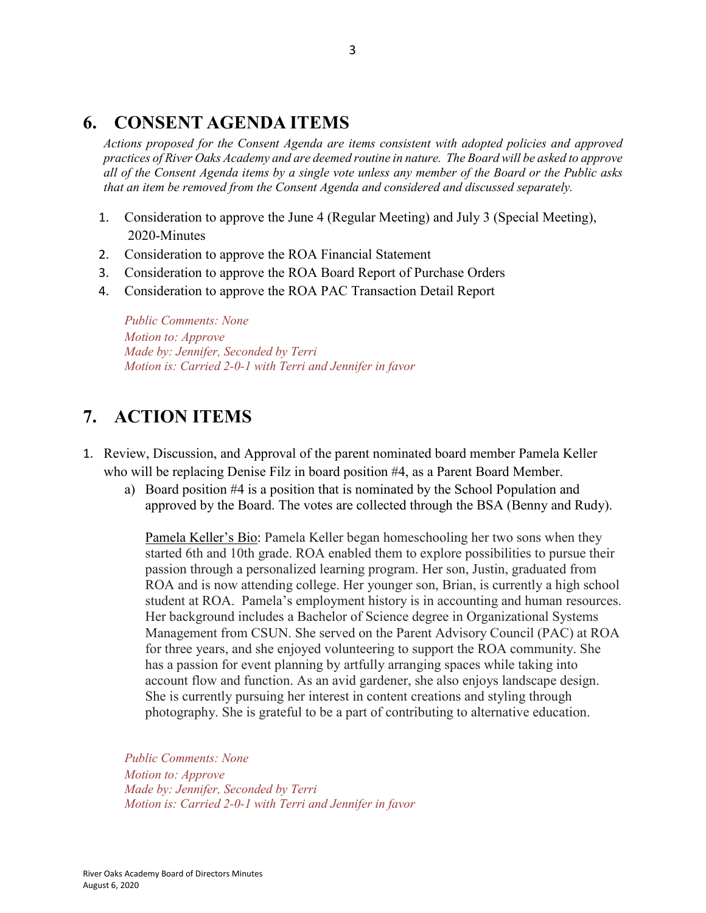#### **6. CONSENT AGENDA ITEMS**

*Actions proposed for the Consent Agenda are items consistent with adopted policies and approved practices of River Oaks Academy and are deemed routine in nature. The Board will be asked to approve all of the Consent Agenda items by a single vote unless any member of the Board or the Public asks that an item be removed from the Consent Agenda and considered and discussed separately.*

- 1. Consideration to approve the June 4 (Regular Meeting) and July 3 (Special Meeting), 2020-Minutes
- 2. Consideration to approve the ROA Financial Statement
- 3. Consideration to approve the ROA Board Report of Purchase Orders
- 4. Consideration to approve the ROA PAC Transaction Detail Report

*Public Comments: None Motion to: Approve Made by: Jennifer, Seconded by Terri Motion is: Carried 2-0-1 with Terri and Jennifer in favor*

# **7. ACTION ITEMS**

- 1. Review, Discussion, and Approval of the parent nominated board member Pamela Keller who will be replacing Denise Filz in board position #4, as a Parent Board Member.
	- a) Board position #4 is a position that is nominated by the School Population and approved by the Board. The votes are collected through the BSA (Benny and Rudy).

Pamela Keller's Bio: Pamela Keller began homeschooling her two sons when they started 6th and 10th grade. ROA enabled them to explore possibilities to pursue their passion through a personalized learning program. Her son, Justin, graduated from ROA and is now attending college. Her younger son, Brian, is currently a high school student at ROA. Pamela's employment history is in accounting and human resources. Her background includes a Bachelor of Science degree in Organizational Systems Management from CSUN. She served on the Parent Advisory Council (PAC) at ROA for three years, and she enjoyed volunteering to support the ROA community. She has a passion for event planning by artfully arranging spaces while taking into account flow and function. As an avid gardener, she also enjoys landscape design. She is currently pursuing her interest in content creations and styling through photography. She is grateful to be a part of contributing to alternative education.

*Public Comments: None Motion to: Approve Made by: Jennifer, Seconded by Terri Motion is: Carried 2-0-1 with Terri and Jennifer in favor*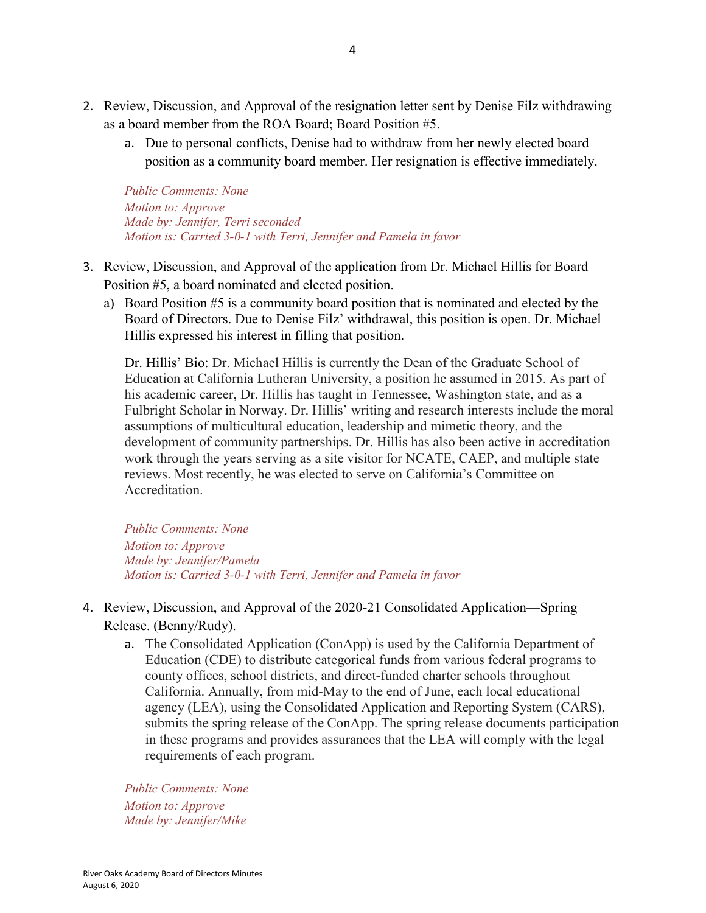- 2. Review, Discussion, and Approval of the resignation letter sent by Denise Filz withdrawing as a board member from the ROA Board; Board Position #5.
	- a. Due to personal conflicts, Denise had to withdraw from her newly elected board position as a community board member. Her resignation is effective immediately.

*Public Comments: None Motion to: Approve Made by: Jennifer, Terri seconded Motion is: Carried 3-0-1 with Terri, Jennifer and Pamela in favor*

- 3. Review, Discussion, and Approval of the application from Dr. Michael Hillis for Board Position #5, a board nominated and elected position.
	- a) Board Position #5 is a community board position that is nominated and elected by the Board of Directors. Due to Denise Filz' withdrawal, this position is open. Dr. Michael Hillis expressed his interest in filling that position.

Dr. Hillis' Bio: Dr. Michael Hillis is currently the Dean of the Graduate School of Education at California Lutheran University, a position he assumed in 2015. As part of his academic career, Dr. Hillis has taught in Tennessee, Washington state, and as a Fulbright Scholar in Norway. Dr. Hillis' writing and research interests include the moral assumptions of multicultural education, leadership and mimetic theory, and the development of community partnerships. Dr. Hillis has also been active in accreditation work through the years serving as a site visitor for NCATE, CAEP, and multiple state reviews. Most recently, he was elected to serve on California's Committee on Accreditation.

*Public Comments: None Motion to: Approve Made by: Jennifer/Pamela Motion is: Carried 3-0-1 with Terri, Jennifer and Pamela in favor*

- 4. Review, Discussion, and Approval of the 2020-21 Consolidated Application—Spring Release. (Benny/Rudy).
	- a. The Consolidated Application (ConApp) is used by the California Department of Education (CDE) to distribute categorical funds from various federal programs to county offices, school districts, and direct-funded charter schools throughout California. Annually, from mid-May to the end of June, each local educational agency (LEA), using the Consolidated Application and Reporting System (CARS), submits the spring release of the ConApp. The spring release documents participation in these programs and provides assurances that the LEA will comply with the legal requirements of each program.

*Public Comments: None Motion to: Approve Made by: Jennifer/Mike*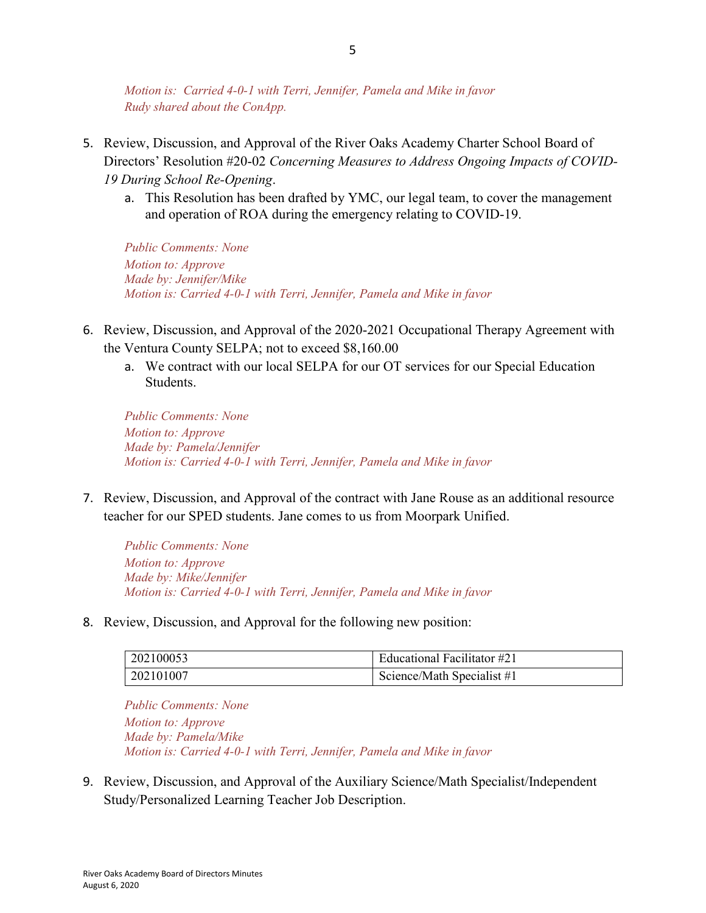*Motion is: Carried 4-0-1 with Terri, Jennifer, Pamela and Mike in favor Rudy shared about the ConApp.*

- 5. Review, Discussion, and Approval of the River Oaks Academy Charter School Board of Directors' Resolution #20-02 *Concerning Measures to Address Ongoing Impacts of COVID-19 During School Re-Opening*.
	- a. This Resolution has been drafted by YMC, our legal team, to cover the management and operation of ROA during the emergency relating to COVID-19.

*Public Comments: None Motion to: Approve Made by: Jennifer/Mike Motion is: Carried 4-0-1 with Terri, Jennifer, Pamela and Mike in favor*

- 6. Review, Discussion, and Approval of the 2020-2021 Occupational Therapy Agreement with the Ventura County SELPA; not to exceed \$8,160.00
	- a. We contract with our local SELPA for our OT services for our Special Education Students.

*Public Comments: None Motion to: Approve Made by: Pamela/Jennifer Motion is: Carried 4-0-1 with Terri, Jennifer, Pamela and Mike in favor*

7. Review, Discussion, and Approval of the contract with Jane Rouse as an additional resource teacher for our SPED students. Jane comes to us from Moorpark Unified.

*Public Comments: None Motion to: Approve Made by: Mike/Jennifer Motion is: Carried 4-0-1 with Terri, Jennifer, Pamela and Mike in favor*

8. Review, Discussion, and Approval for the following new position:

| 202100053 | Educational Facilitator #21 |
|-----------|-----------------------------|
| 202101007 | Science/Math Specialist #1  |

*Public Comments: None Motion to: Approve Made by: Pamela/Mike Motion is: Carried 4-0-1 with Terri, Jennifer, Pamela and Mike in favor*

9. Review, Discussion, and Approval of the Auxiliary Science/Math Specialist/Independent Study/Personalized Learning Teacher Job Description.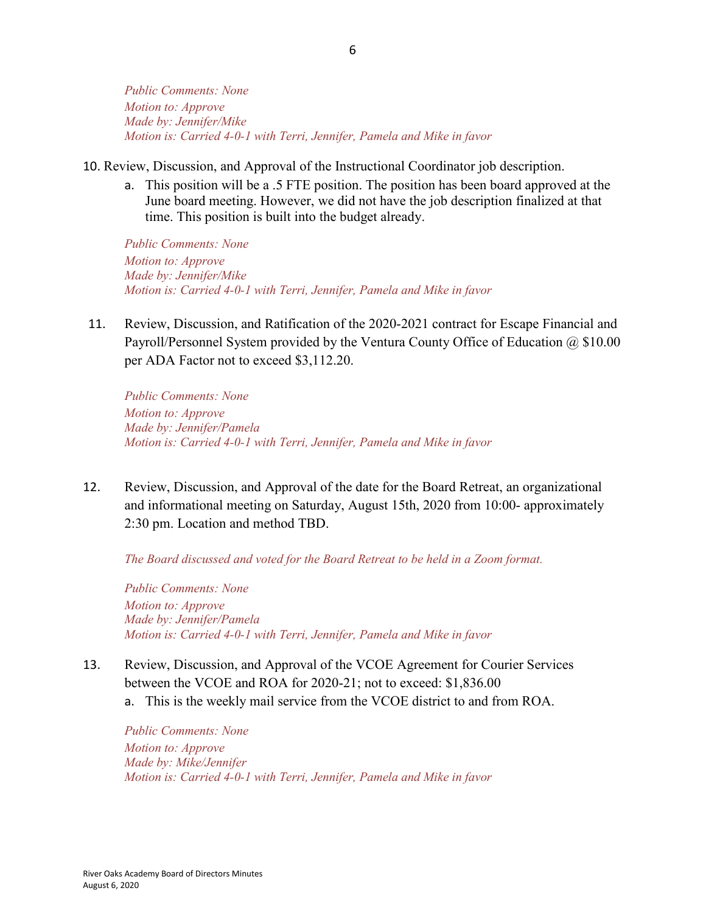*Public Comments: None Motion to: Approve Made by: Jennifer/Mike Motion is: Carried 4-0-1 with Terri, Jennifer, Pamela and Mike in favor*

- 10. Review, Discussion, and Approval of the Instructional Coordinator job description.
	- a. This position will be a .5 FTE position. The position has been board approved at the June board meeting. However, we did not have the job description finalized at that time. This position is built into the budget already.

*Public Comments: None Motion to: Approve Made by: Jennifer/Mike Motion is: Carried 4-0-1 with Terri, Jennifer, Pamela and Mike in favor*

11. Review, Discussion, and Ratification of the 2020-2021 contract for Escape Financial and Payroll/Personnel System provided by the Ventura County Office of Education @ \$10.00 per ADA Factor not to exceed \$3,112.20.

*Public Comments: None Motion to: Approve Made by: Jennifer/Pamela Motion is: Carried 4-0-1 with Terri, Jennifer, Pamela and Mike in favor*

12. Review, Discussion, and Approval of the date for the Board Retreat, an organizational and informational meeting on Saturday, August 15th, 2020 from 10:00- approximately 2:30 pm. Location and method TBD.

*The Board discussed and voted for the Board Retreat to be held in a Zoom format.*

*Public Comments: None Motion to: Approve Made by: Jennifer/Pamela Motion is: Carried 4-0-1 with Terri, Jennifer, Pamela and Mike in favor*

- 13. Review, Discussion, and Approval of the VCOE Agreement for Courier Services between the VCOE and ROA for 2020-21; not to exceed: \$1,836.00
	- a. This is the weekly mail service from the VCOE district to and from ROA.

*Public Comments: None Motion to: Approve Made by: Mike/Jennifer Motion is: Carried 4-0-1 with Terri, Jennifer, Pamela and Mike in favor*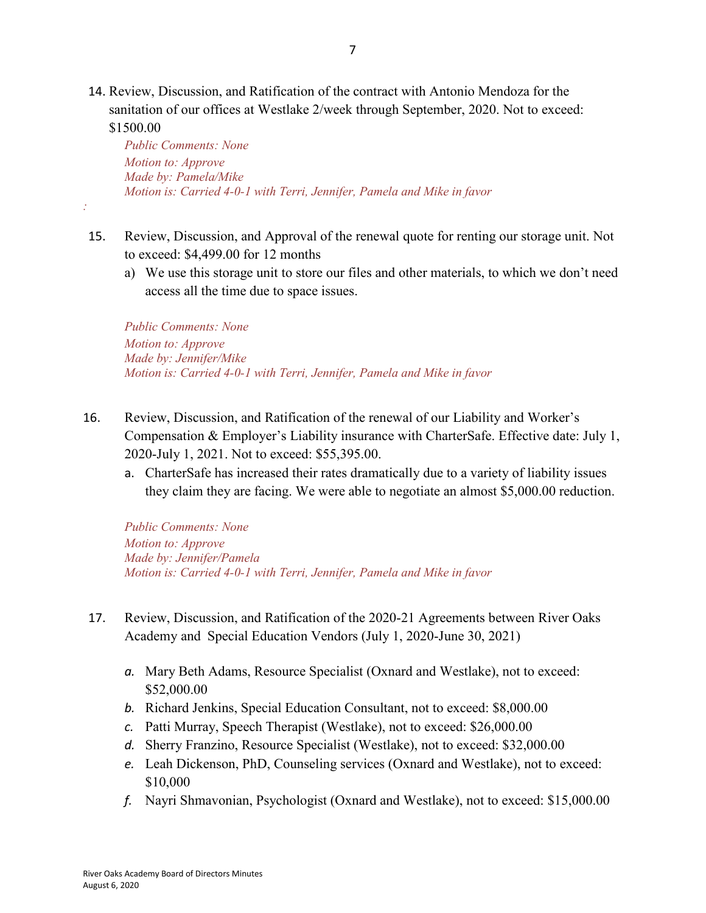14. Review, Discussion, and Ratification of the contract with Antonio Mendoza for the sanitation of our offices at Westlake 2/week through September, 2020. Not to exceed: \$1500.00

*Public Comments: None Motion to: Approve Made by: Pamela/Mike Motion is: Carried 4-0-1 with Terri, Jennifer, Pamela and Mike in favor*

- 15. Review, Discussion, and Approval of the renewal quote for renting our storage unit. Not to exceed: \$4,499.00 for 12 months
	- a) We use this storage unit to store our files and other materials, to which we don't need access all the time due to space issues.

*Public Comments: None Motion to: Approve Made by: Jennifer/Mike Motion is: Carried 4-0-1 with Terri, Jennifer, Pamela and Mike in favor*

- 16. Review, Discussion, and Ratification of the renewal of our Liability and Worker's Compensation & Employer's Liability insurance with CharterSafe. Effective date: July 1, 2020-July 1, 2021. Not to exceed: \$55,395.00.
	- a. CharterSafe has increased their rates dramatically due to a variety of liability issues they claim they are facing. We were able to negotiate an almost \$5,000.00 reduction.

*Public Comments: None Motion to: Approve Made by: Jennifer/Pamela Motion is: Carried 4-0-1 with Terri, Jennifer, Pamela and Mike in favor*

- 17. Review, Discussion, and Ratification of the 2020-21 Agreements between River Oaks Academy and Special Education Vendors (July 1, 2020-June 30, 2021)
	- *a.* Mary Beth Adams, Resource Specialist (Oxnard and Westlake), not to exceed: \$52,000.00
	- *b.* Richard Jenkins, Special Education Consultant, not to exceed: \$8,000.00
	- *c.* Patti Murray, Speech Therapist (Westlake), not to exceed: \$26,000.00
	- *d.* Sherry Franzino, Resource Specialist (Westlake), not to exceed: \$32,000.00
	- *e.* Leah Dickenson, PhD, Counseling services (Oxnard and Westlake), not to exceed: \$10,000
	- *f.* Nayri Shmavonian, Psychologist (Oxnard and Westlake), not to exceed: \$15,000.00

*:*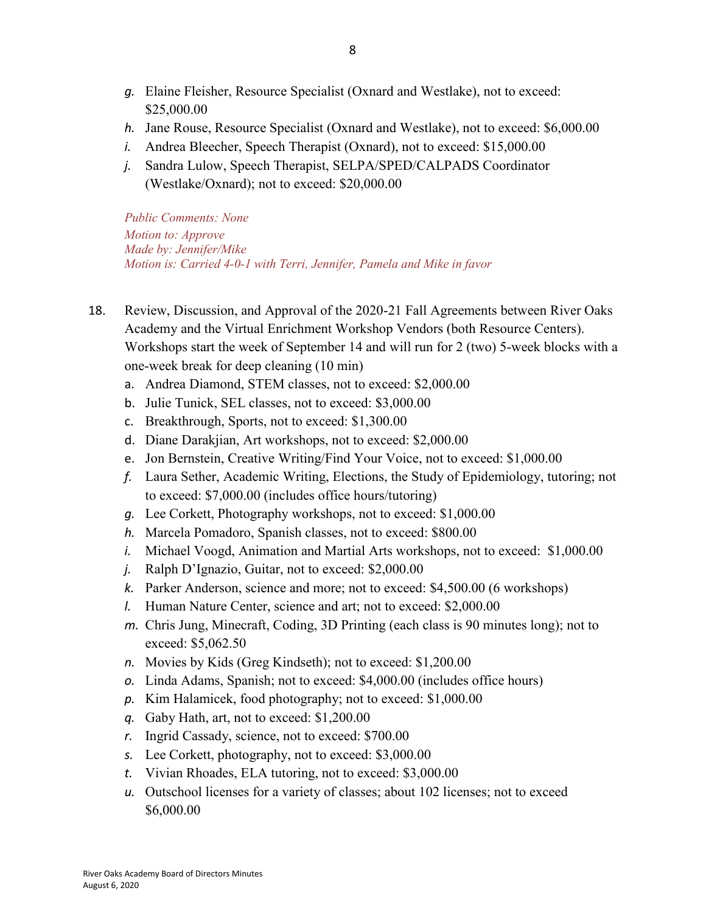- *g.* Elaine Fleisher, Resource Specialist (Oxnard and Westlake), not to exceed: \$25,000.00
- *h.* Jane Rouse, Resource Specialist (Oxnard and Westlake), not to exceed: \$6,000.00
- *i.* Andrea Bleecher, Speech Therapist (Oxnard), not to exceed: \$15,000.00
- *j.* Sandra Lulow, Speech Therapist, SELPA/SPED/CALPADS Coordinator (Westlake/Oxnard); not to exceed: \$20,000.00

*Public Comments: None Motion to: Approve Made by: Jennifer/Mike Motion is: Carried 4-0-1 with Terri, Jennifer, Pamela and Mike in favor*

- 18. Review, Discussion, and Approval of the 2020-21 Fall Agreements between River Oaks Academy and the Virtual Enrichment Workshop Vendors (both Resource Centers). Workshops start the week of September 14 and will run for 2 (two) 5-week blocks with a one-week break for deep cleaning (10 min)
	- a. Andrea Diamond, STEM classes, not to exceed: \$2,000.00
	- b. Julie Tunick, SEL classes, not to exceed: \$3,000.00
	- c. Breakthrough, Sports, not to exceed: \$1,300.00
	- d. Diane Darakjian, Art workshops, not to exceed: \$2,000.00
	- e. Jon Bernstein, Creative Writing/Find Your Voice, not to exceed: \$1,000.00
	- *f.* Laura Sether, Academic Writing, Elections, the Study of Epidemiology, tutoring; not to exceed: \$7,000.00 (includes office hours/tutoring)
	- *g.* Lee Corkett, Photography workshops, not to exceed: \$1,000.00
	- *h.* Marcela Pomadoro, Spanish classes, not to exceed: \$800.00
	- *i.* Michael Voogd, Animation and Martial Arts workshops, not to exceed: \$1,000.00
	- *j.* Ralph D'Ignazio, Guitar, not to exceed: \$2,000.00
	- *k.* Parker Anderson, science and more; not to exceed: \$4,500.00 (6 workshops)
	- *l.* Human Nature Center, science and art; not to exceed: \$2,000.00
	- *m.* Chris Jung, Minecraft, Coding, 3D Printing (each class is 90 minutes long); not to exceed: \$5,062.50
	- *n.* Movies by Kids (Greg Kindseth); not to exceed: \$1,200.00
	- *o.* Linda Adams, Spanish; not to exceed: \$4,000.00 (includes office hours)
	- *p.* Kim Halamicek, food photography; not to exceed: \$1,000.00
	- *q.* Gaby Hath, art, not to exceed: \$1,200.00
	- *r.* Ingrid Cassady, science, not to exceed: \$700.00
	- *s.* Lee Corkett, photography, not to exceed: \$3,000.00
	- *t.* Vivian Rhoades, ELA tutoring, not to exceed: \$3,000.00
	- *u.* Outschool licenses for a variety of classes; about 102 licenses; not to exceed \$6,000.00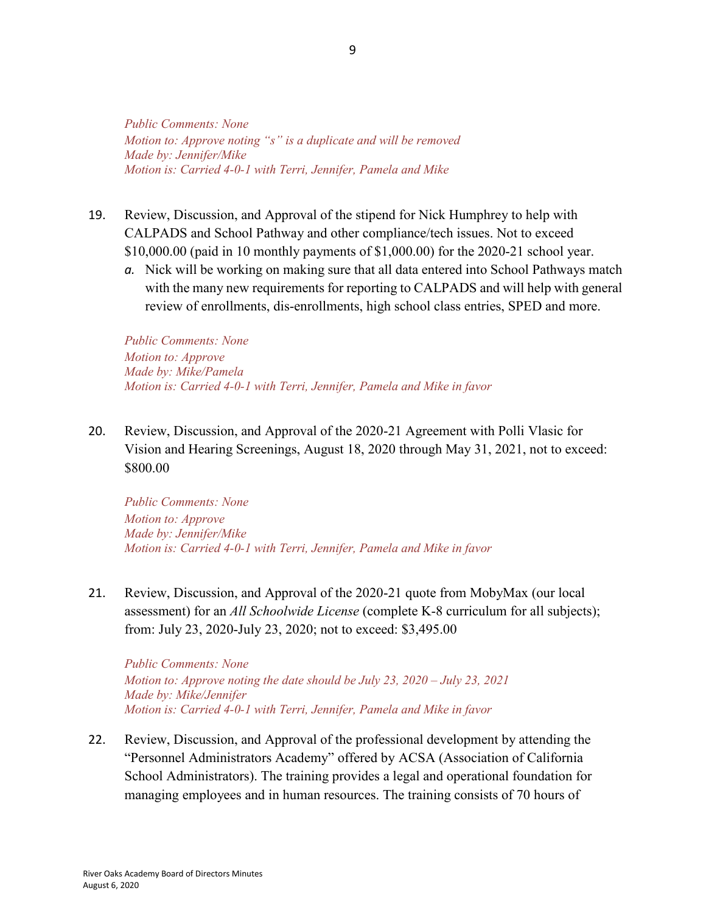*Public Comments: None Motion to: Approve noting "s" is a duplicate and will be removed Made by: Jennifer/Mike Motion is: Carried 4-0-1 with Terri, Jennifer, Pamela and Mike*

- 19. Review, Discussion, and Approval of the stipend for Nick Humphrey to help with CALPADS and School Pathway and other compliance/tech issues. Not to exceed \$10,000.00 (paid in 10 monthly payments of \$1,000.00) for the 2020-21 school year.
	- *a.* Nick will be working on making sure that all data entered into School Pathways match with the many new requirements for reporting to CALPADS and will help with general review of enrollments, dis-enrollments, high school class entries, SPED and more.

*Public Comments: None Motion to: Approve Made by: Mike/Pamela Motion is: Carried 4-0-1 with Terri, Jennifer, Pamela and Mike in favor*

20. Review, Discussion, and Approval of the 2020-21 Agreement with Polli Vlasic for Vision and Hearing Screenings, August 18, 2020 through May 31, 2021, not to exceed: \$800.00

*Public Comments: None Motion to: Approve Made by: Jennifer/Mike Motion is: Carried 4-0-1 with Terri, Jennifer, Pamela and Mike in favor*

21. Review, Discussion, and Approval of the 2020-21 quote from MobyMax (our local assessment) for an *All Schoolwide License* (complete K-8 curriculum for all subjects); from: July 23, 2020-July 23, 2020; not to exceed: \$3,495.00

*Public Comments: None Motion to: Approve noting the date should be July 23, 2020 – July 23, 2021 Made by: Mike/Jennifer Motion is: Carried 4-0-1 with Terri, Jennifer, Pamela and Mike in favor*

22. Review, Discussion, and Approval of the professional development by attending the "Personnel Administrators Academy" offered by ACSA (Association of California School Administrators). The training provides a legal and operational foundation for managing employees and in human resources. The training consists of 70 hours of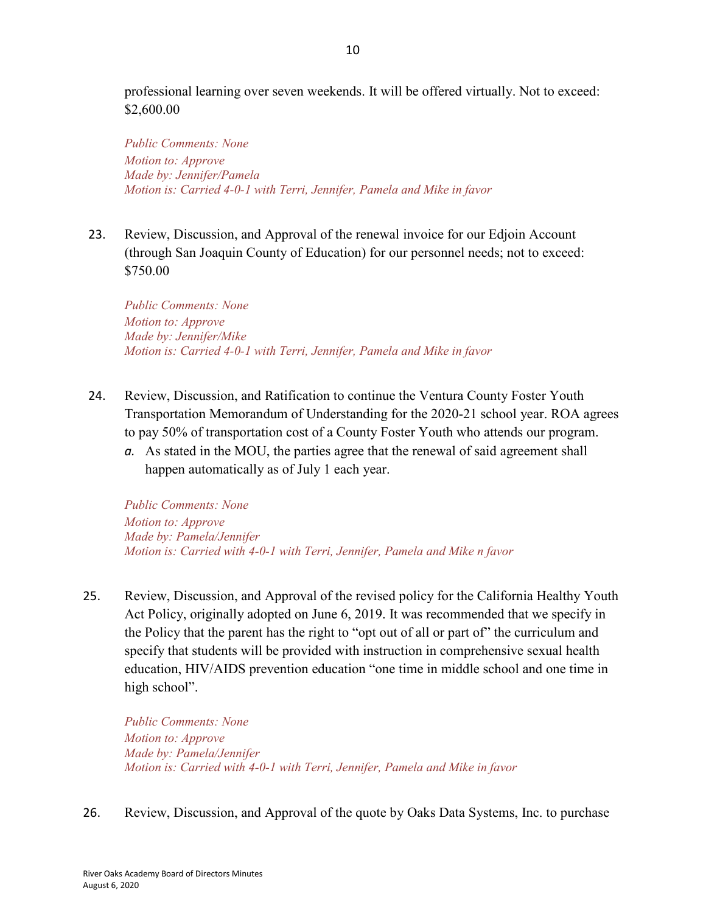professional learning over seven weekends. It will be offered virtually. Not to exceed: \$2,600.00

*Public Comments: None Motion to: Approve Made by: Jennifer/Pamela Motion is: Carried 4-0-1 with Terri, Jennifer, Pamela and Mike in favor*

23. Review, Discussion, and Approval of the renewal invoice for our Edjoin Account (through San Joaquin County of Education) for our personnel needs; not to exceed: \$750.00

*Public Comments: None Motion to: Approve Made by: Jennifer/Mike Motion is: Carried 4-0-1 with Terri, Jennifer, Pamela and Mike in favor*

- 24. Review, Discussion, and Ratification to continue the Ventura County Foster Youth Transportation Memorandum of Understanding for the 2020-21 school year. ROA agrees to pay 50% of transportation cost of a County Foster Youth who attends our program.
	- *a.* As stated in the MOU, the parties agree that the renewal of said agreement shall happen automatically as of July 1 each year.

*Public Comments: None Motion to: Approve Made by: Pamela/Jennifer Motion is: Carried with 4-0-1 with Terri, Jennifer, Pamela and Mike n favor*

25. Review, Discussion, and Approval of the revised policy for the California Healthy Youth Act Policy, originally adopted on June 6, 2019. It was recommended that we specify in the Policy that the parent has the right to "opt out of all or part of" the curriculum and specify that students will be provided with instruction in comprehensive sexual health education, HIV/AIDS prevention education "one time in middle school and one time in high school".

*Public Comments: None Motion to: Approve Made by: Pamela/Jennifer Motion is: Carried with 4-0-1 with Terri, Jennifer, Pamela and Mike in favor*

26. Review, Discussion, and Approval of the quote by Oaks Data Systems, Inc. to purchase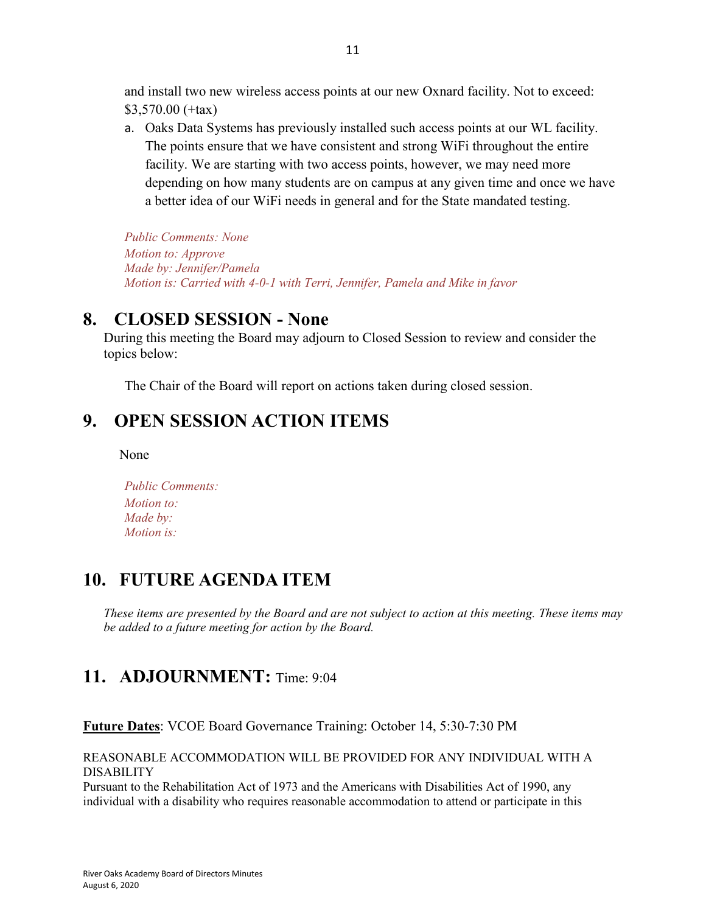and install two new wireless access points at our new Oxnard facility. Not to exceed: \$3,570.00 (+tax)

a. Oaks Data Systems has previously installed such access points at our WL facility. The points ensure that we have consistent and strong WiFi throughout the entire facility. We are starting with two access points, however, we may need more depending on how many students are on campus at any given time and once we have a better idea of our WiFi needs in general and for the State mandated testing.

*Public Comments: None Motion to: Approve Made by: Jennifer/Pamela Motion is: Carried with 4-0-1 with Terri, Jennifer, Pamela and Mike in favor*

#### **8. CLOSED SESSION - None**

During this meeting the Board may adjourn to Closed Session to review and consider the topics below:

The Chair of the Board will report on actions taken during closed session.

#### **9. OPEN SESSION ACTION ITEMS**

None

| <b>Public Comments:</b> |
|-------------------------|
| <i>Motion to:</i>       |
| Made by:                |
| <i>Motion is:</i>       |

# **10. FUTURE AGENDA ITEM**

*These items are presented by the Board and are not subject to action at this meeting. These items may be added to a future meeting for action by the Board.*

## **11. ADJOURNMENT:** Time: 9:04

**Future Dates**: VCOE Board Governance Training: October 14, 5:30-7:30 PM

REASONABLE ACCOMMODATION WILL BE PROVIDED FOR ANY INDIVIDUAL WITH A DISABILITY

Pursuant to the Rehabilitation Act of 1973 and the Americans with Disabilities Act of 1990, any individual with a disability who requires reasonable accommodation to attend or participate in this